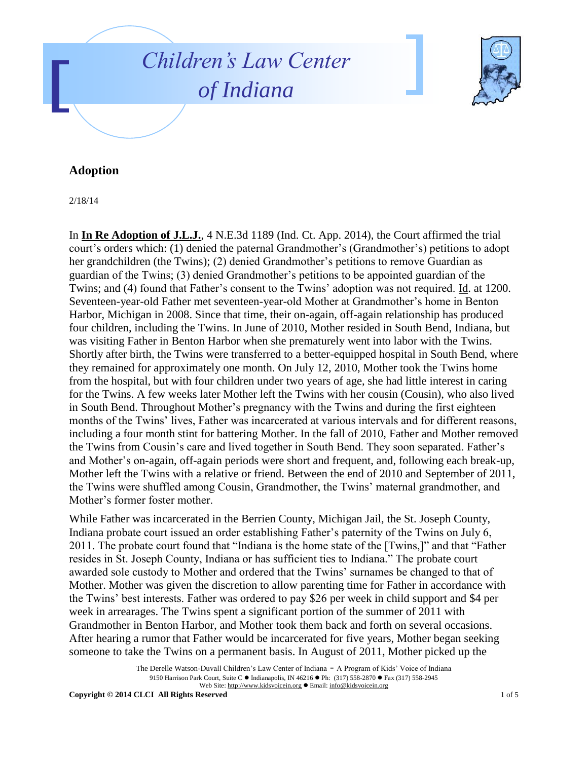



## **Adoption**

2/18/14

In **In Re Adoption of J.L.J.**, 4 N.E.3d 1189 (Ind. Ct. App. 2014), the Court affirmed the trial court's orders which: (1) denied the paternal Grandmother's (Grandmother's) petitions to adopt her grandchildren (the Twins); (2) denied Grandmother's petitions to remove Guardian as guardian of the Twins; (3) denied Grandmother's petitions to be appointed guardian of the Twins; and (4) found that Father's consent to the Twins' adoption was not required. Id. at 1200. Seventeen-year-old Father met seventeen-year-old Mother at Grandmother's home in Benton Harbor, Michigan in 2008. Since that time, their on-again, off-again relationship has produced four children, including the Twins. In June of 2010, Mother resided in South Bend, Indiana, but was visiting Father in Benton Harbor when she prematurely went into labor with the Twins. Shortly after birth, the Twins were transferred to a better-equipped hospital in South Bend, where they remained for approximately one month. On July 12, 2010, Mother took the Twins home from the hospital, but with four children under two years of age, she had little interest in caring for the Twins. A few weeks later Mother left the Twins with her cousin (Cousin), who also lived in South Bend. Throughout Mother's pregnancy with the Twins and during the first eighteen months of the Twins' lives, Father was incarcerated at various intervals and for different reasons, including a four month stint for battering Mother. In the fall of 2010, Father and Mother removed the Twins from Cousin's care and lived together in South Bend. They soon separated. Father's and Mother's on-again, off-again periods were short and frequent, and, following each break-up, Mother left the Twins with a relative or friend. Between the end of 2010 and September of 2011, the Twins were shuffled among Cousin, Grandmother, the Twins' maternal grandmother, and Mother's former foster mother.

While Father was incarcerated in the Berrien County, Michigan Jail, the St. Joseph County, Indiana probate court issued an order establishing Father's paternity of the Twins on July 6, 2011. The probate court found that "Indiana is the home state of the [Twins,]" and that "Father resides in St. Joseph County, Indiana or has sufficient ties to Indiana." The probate court awarded sole custody to Mother and ordered that the Twins' surnames be changed to that of Mother. Mother was given the discretion to allow parenting time for Father in accordance with the Twins' best interests. Father was ordered to pay \$26 per week in child support and \$4 per week in arrearages. The Twins spent a significant portion of the summer of 2011 with Grandmother in Benton Harbor, and Mother took them back and forth on several occasions. After hearing a rumor that Father would be incarcerated for five years, Mother began seeking someone to take the Twins on a permanent basis. In August of 2011, Mother picked up the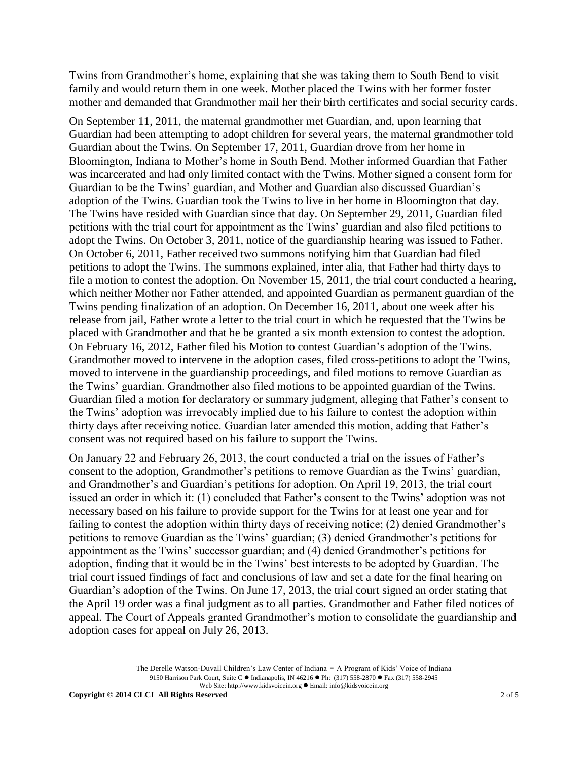Twins from Grandmother's home, explaining that she was taking them to South Bend to visit family and would return them in one week. Mother placed the Twins with her former foster mother and demanded that Grandmother mail her their birth certificates and social security cards.

On September 11, 2011, the maternal grandmother met Guardian, and, upon learning that Guardian had been attempting to adopt children for several years, the maternal grandmother told Guardian about the Twins. On September 17, 2011, Guardian drove from her home in Bloomington, Indiana to Mother's home in South Bend. Mother informed Guardian that Father was incarcerated and had only limited contact with the Twins. Mother signed a consent form for Guardian to be the Twins' guardian, and Mother and Guardian also discussed Guardian's adoption of the Twins. Guardian took the Twins to live in her home in Bloomington that day. The Twins have resided with Guardian since that day. On September 29, 2011, Guardian filed petitions with the trial court for appointment as the Twins' guardian and also filed petitions to adopt the Twins. On October 3, 2011, notice of the guardianship hearing was issued to Father. On October 6, 2011, Father received two summons notifying him that Guardian had filed petitions to adopt the Twins. The summons explained, inter alia, that Father had thirty days to file a motion to contest the adoption. On November 15, 2011, the trial court conducted a hearing, which neither Mother nor Father attended, and appointed Guardian as permanent guardian of the Twins pending finalization of an adoption. On December 16, 2011, about one week after his release from jail, Father wrote a letter to the trial court in which he requested that the Twins be placed with Grandmother and that he be granted a six month extension to contest the adoption. On February 16, 2012, Father filed his Motion to contest Guardian's adoption of the Twins. Grandmother moved to intervene in the adoption cases, filed cross-petitions to adopt the Twins, moved to intervene in the guardianship proceedings, and filed motions to remove Guardian as the Twins' guardian. Grandmother also filed motions to be appointed guardian of the Twins. Guardian filed a motion for declaratory or summary judgment, alleging that Father's consent to the Twins' adoption was irrevocably implied due to his failure to contest the adoption within thirty days after receiving notice. Guardian later amended this motion, adding that Father's consent was not required based on his failure to support the Twins.

On January 22 and February 26, 2013, the court conducted a trial on the issues of Father's consent to the adoption, Grandmother's petitions to remove Guardian as the Twins' guardian, and Grandmother's and Guardian's petitions for adoption. On April 19, 2013, the trial court issued an order in which it: (1) concluded that Father's consent to the Twins' adoption was not necessary based on his failure to provide support for the Twins for at least one year and for failing to contest the adoption within thirty days of receiving notice; (2) denied Grandmother's petitions to remove Guardian as the Twins' guardian; (3) denied Grandmother's petitions for appointment as the Twins' successor guardian; and (4) denied Grandmother's petitions for adoption, finding that it would be in the Twins' best interests to be adopted by Guardian. The trial court issued findings of fact and conclusions of law and set a date for the final hearing on Guardian's adoption of the Twins. On June 17, 2013, the trial court signed an order stating that the April 19 order was a final judgment as to all parties. Grandmother and Father filed notices of appeal. The Court of Appeals granted Grandmother's motion to consolidate the guardianship and adoption cases for appeal on July 26, 2013.

> The Derelle Watson-Duvall Children's Law Center of Indiana - A Program of Kids' Voice of Indiana 9150 Harrison Park Court, Suite C · Indianapolis, IN 46216 · Ph: (317) 558-2870 · Fax (317) 558-2945 Web Site: http://www.kidsvoicein.org · Email: info@kidsvoicein.org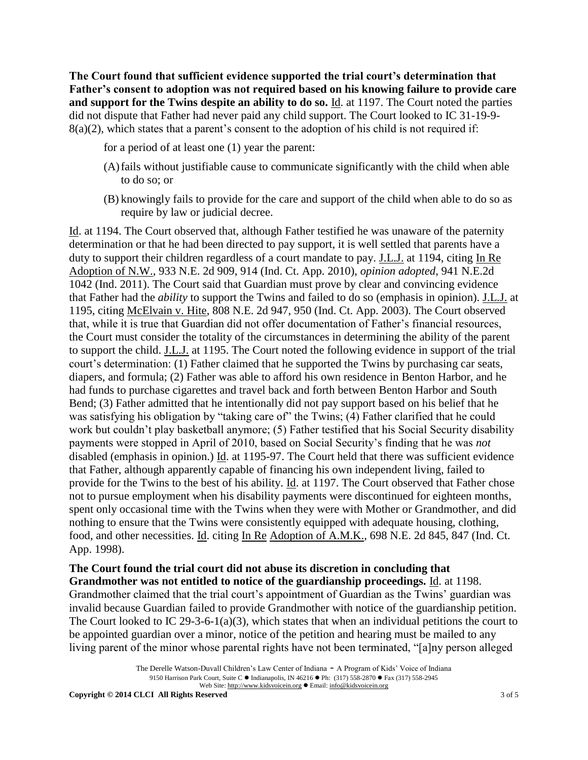**The Court found that sufficient evidence supported the trial court's determination that Father's consent to adoption was not required based on his knowing failure to provide care and support for the Twins despite an ability to do so.** Id. at 1197. The Court noted the parties did not dispute that Father had never paid any child support. The Court looked to IC 31-19-9-  $8(a)(2)$ , which states that a parent's consent to the adoption of his child is not required if:

- for a period of at least one (1) year the parent:
- (A)fails without justifiable cause to communicate significantly with the child when able to do so; or
- (B) knowingly fails to provide for the care and support of the child when able to do so as require by law or judicial decree.

Id. at 1194. The Court observed that, although Father testified he was unaware of the paternity determination or that he had been directed to pay support, it is well settled that parents have a duty to support their children regardless of a court mandate to pay. J.L.J. at 1194, citing In Re Adoption of N.W., 933 N.E. 2d 909, 914 (Ind. Ct. App. 2010), *opinion adopted*, 941 N.E.2d 1042 (Ind. 2011). The Court said that Guardian must prove by clear and convincing evidence that Father had the *ability* to support the Twins and failed to do so (emphasis in opinion). J.L.J. at 1195, citing McElvain v. Hite, 808 N.E. 2d 947, 950 (Ind. Ct. App. 2003). The Court observed that, while it is true that Guardian did not offer documentation of Father's financial resources, the Court must consider the totality of the circumstances in determining the ability of the parent to support the child. J.L.J. at 1195. The Court noted the following evidence in support of the trial court's determination: (1) Father claimed that he supported the Twins by purchasing car seats, diapers, and formula; (2) Father was able to afford his own residence in Benton Harbor, and he had funds to purchase cigarettes and travel back and forth between Benton Harbor and South Bend; (3) Father admitted that he intentionally did not pay support based on his belief that he was satisfying his obligation by "taking care of" the Twins; (4) Father clarified that he could work but couldn't play basketball anymore; (5) Father testified that his Social Security disability payments were stopped in April of 2010, based on Social Security's finding that he was *not* disabled (emphasis in opinion.) Id. at 1195-97. The Court held that there was sufficient evidence that Father, although apparently capable of financing his own independent living, failed to provide for the Twins to the best of his ability. Id. at 1197. The Court observed that Father chose not to pursue employment when his disability payments were discontinued for eighteen months, spent only occasional time with the Twins when they were with Mother or Grandmother, and did nothing to ensure that the Twins were consistently equipped with adequate housing, clothing, food, and other necessities. Id. citing In Re Adoption of A.M.K., 698 N.E. 2d 845, 847 (Ind. Ct. App. 1998).

## **The Court found the trial court did not abuse its discretion in concluding that Grandmother was not entitled to notice of the guardianship proceedings.** Id. at 1198.

Grandmother claimed that the trial court's appointment of Guardian as the Twins' guardian was invalid because Guardian failed to provide Grandmother with notice of the guardianship petition. The Court looked to IC 29-3-6-1(a)(3), which states that when an individual petitions the court to be appointed guardian over a minor, notice of the petition and hearing must be mailed to any living parent of the minor whose parental rights have not been terminated, "[a]ny person alleged

The Derelle Watson-Duvall Children's Law Center of Indiana - A Program of Kids' Voice of Indiana 9150 Harrison Park Court, Suite C · Indianapolis, IN 46216 · Ph: (317) 558-2870 · Fax (317) 558-2945 Web Site: http://www.kidsvoicein.org · Email: info@kidsvoicein.org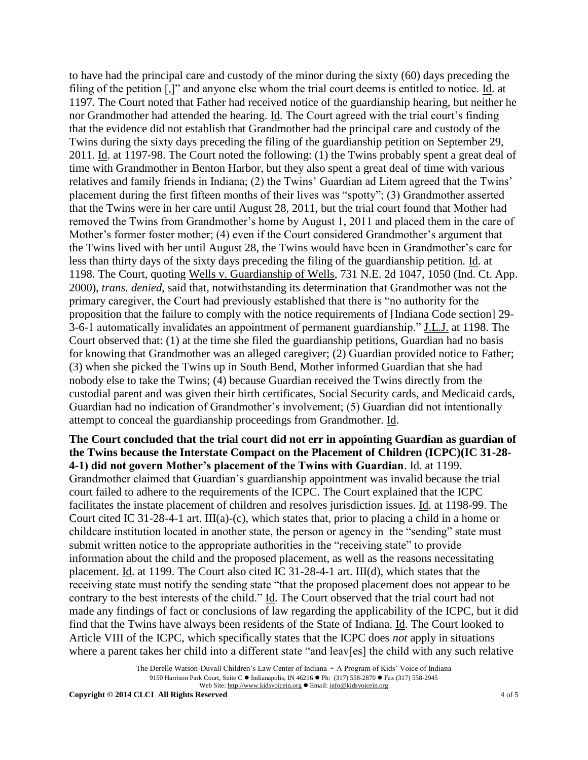to have had the principal care and custody of the minor during the sixty (60) days preceding the filing of the petition [,]" and anyone else whom the trial court deems is entitled to notice. Id. at 1197. The Court noted that Father had received notice of the guardianship hearing, but neither he nor Grandmother had attended the hearing. Id. The Court agreed with the trial court's finding that the evidence did not establish that Grandmother had the principal care and custody of the Twins during the sixty days preceding the filing of the guardianship petition on September 29, 2011. Id. at 1197-98. The Court noted the following: (1) the Twins probably spent a great deal of time with Grandmother in Benton Harbor, but they also spent a great deal of time with various relatives and family friends in Indiana; (2) the Twins' Guardian ad Litem agreed that the Twins' placement during the first fifteen months of their lives was "spotty"; (3) Grandmother asserted that the Twins were in her care until August 28, 2011, but the trial court found that Mother had removed the Twins from Grandmother's home by August 1, 2011 and placed them in the care of Mother's former foster mother; (4) even if the Court considered Grandmother's argument that the Twins lived with her until August 28, the Twins would have been in Grandmother's care for less than thirty days of the sixty days preceding the filing of the guardianship petition. Id. at 1198. The Court, quoting Wells v. Guardianship of Wells, 731 N.E. 2d 1047, 1050 (Ind. Ct. App. 2000), *trans. denied*, said that, notwithstanding its determination that Grandmother was not the primary caregiver, the Court had previously established that there is "no authority for the proposition that the failure to comply with the notice requirements of [Indiana Code section] 29- 3-6-1 automatically invalidates an appointment of permanent guardianship." J.L.J. at 1198. The Court observed that: (1) at the time she filed the guardianship petitions, Guardian had no basis for knowing that Grandmother was an alleged caregiver; (2) Guardian provided notice to Father; (3) when she picked the Twins up in South Bend, Mother informed Guardian that she had nobody else to take the Twins; (4) because Guardian received the Twins directly from the custodial parent and was given their birth certificates, Social Security cards, and Medicaid cards, Guardian had no indication of Grandmother's involvement; (5) Guardian did not intentionally attempt to conceal the guardianship proceedings from Grandmother. Id.

## **The Court concluded that the trial court did not err in appointing Guardian as guardian of the Twins because the Interstate Compact on the Placement of Children (ICPC)(IC 31-28- 4-1) did not govern Mother's placement of the Twins with Guardian**. Id. at 1199. Grandmother claimed that Guardian's guardianship appointment was invalid because the trial court failed to adhere to the requirements of the ICPC. The Court explained that the ICPC facilitates the instate placement of children and resolves jurisdiction issues. Id. at 1198-99. The Court cited IC 31-28-4-1 art. III(a)-(c), which states that, prior to placing a child in a home or childcare institution located in another state, the person or agency in the "sending" state must submit written notice to the appropriate authorities in the "receiving state" to provide information about the child and the proposed placement, as well as the reasons necessitating placement. Id. at 1199. The Court also cited IC 31-28-4-1 art. III(d), which states that the receiving state must notify the sending state "that the proposed placement does not appear to be contrary to the best interests of the child." Id. The Court observed that the trial court had not made any findings of fact or conclusions of law regarding the applicability of the ICPC, but it did find that the Twins have always been residents of the State of Indiana. Id. The Court looked to Article VIII of the ICPC, which specifically states that the ICPC does *not* apply in situations where a parent takes her child into a different state "and leav[es] the child with any such relative